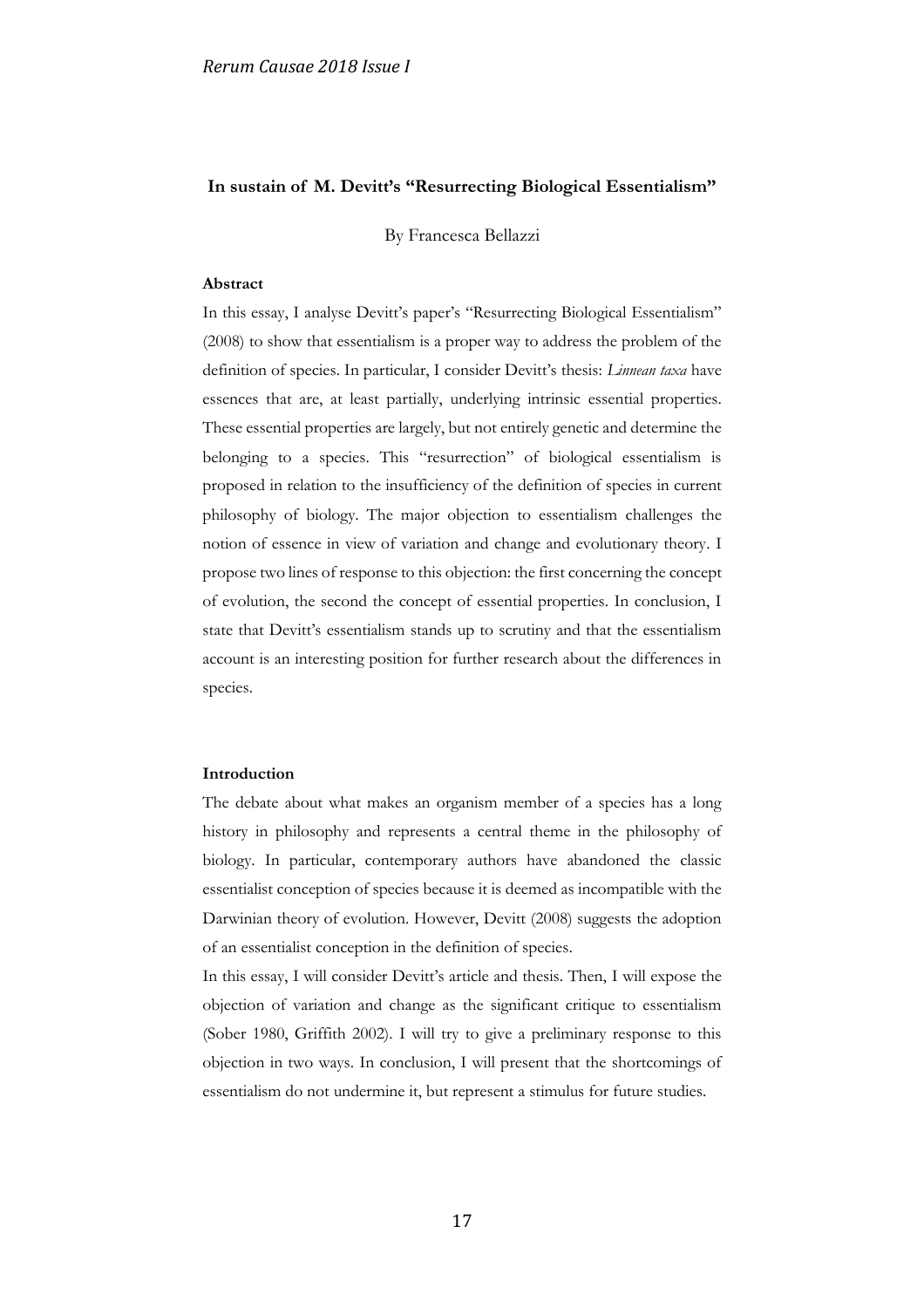## **In sustain of M. Devitt's "Resurrecting Biological Essentialism"**

By Francesca Bellazzi

## **Abstract**

In this essay, I analyse Devitt's paper's "Resurrecting Biological Essentialism" (2008) to show that essentialism is a proper way to address the problem of the definition of species. In particular, I consider Devitt's thesis: *Linnean taxa* have essences that are, at least partially, underlying intrinsic essential properties. These essential properties are largely, but not entirely genetic and determine the belonging to a species. This "resurrection" of biological essentialism is proposed in relation to the insufficiency of the definition of species in current philosophy of biology. The major objection to essentialism challenges the notion of essence in view of variation and change and evolutionary theory. I propose two lines of response to this objection: the first concerning the concept of evolution, the second the concept of essential properties. In conclusion, I state that Devitt's essentialism stands up to scrutiny and that the essentialism account is an interesting position for further research about the differences in species.

## **Introduction**

The debate about what makes an organism member of a species has a long history in philosophy and represents a central theme in the philosophy of biology. In particular, contemporary authors have abandoned the classic essentialist conception of species because it is deemed as incompatible with the Darwinian theory of evolution. However, Devitt (2008) suggests the adoption of an essentialist conception in the definition of species.

In this essay, I will consider Devitt's article and thesis. Then, I will expose the objection of variation and change as the significant critique to essentialism (Sober 1980, Griffith 2002). I will try to give a preliminary response to this objection in two ways. In conclusion, I will present that the shortcomings of essentialism do not undermine it, but represent a stimulus for future studies.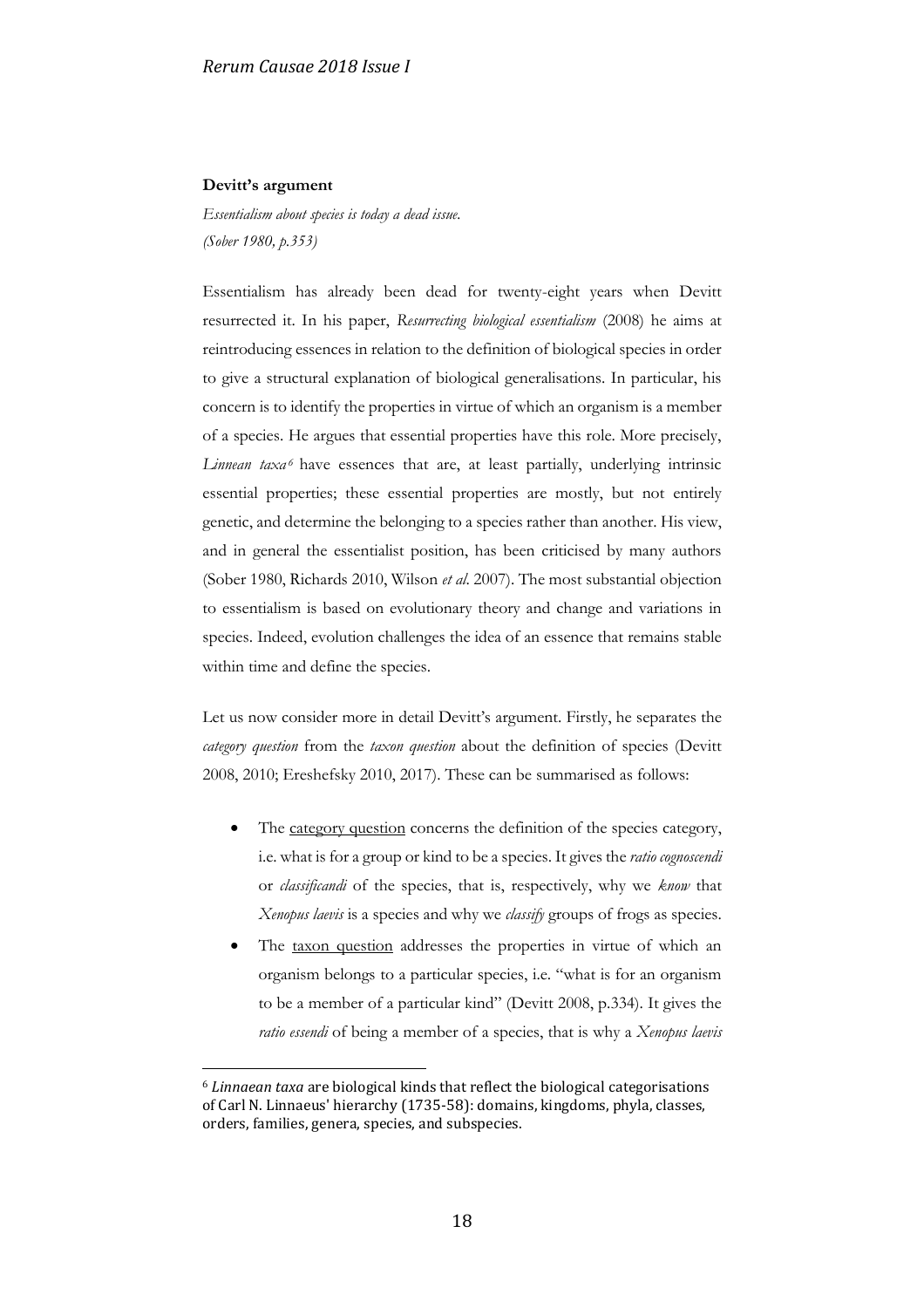### **Devitt's argument**

<u>.</u>

*Essentialism about species is today a dead issue. (Sober 1980, p.353)*

Essentialism has already been dead for twenty-eight years when Devitt resurrected it. In his paper, *Resurrecting biological essentialism* (2008) he aims at reintroducing essences in relation to the definition of biological species in order to give a structural explanation of biological generalisations. In particular, his concern is to identify the properties in virtue of which an organism is a member of a species. He argues that essential properties have this role. More precisely, Linnean taxa<sup>6</sup> have essences that are, at least partially, underlying intrinsic essential properties; these essential properties are mostly, but not entirely genetic, and determine the belonging to a species rather than another. His view, and in general the essentialist position, has been criticised by many authors (Sober 1980, Richards 2010, Wilson *et al*. 2007). The most substantial objection to essentialism is based on evolutionary theory and change and variations in species. Indeed, evolution challenges the idea of an essence that remains stable within time and define the species.

Let us now consider more in detail Devitt's argument. Firstly, he separates the *category question* from the *taxon question* about the definition of species (Devitt 2008, 2010; Ereshefsky 2010, 2017). These can be summarised as follows:

- The category question concerns the definition of the species category, i.e. what is for a group or kind to be a species. It gives the *ratio cognoscendi* or *classificandi* of the species, that is, respectively, why we *know* that *Xenopus laevis* is a species and why we *classify* groups of frogs as species.
- The taxon question addresses the properties in virtue of which an organism belongs to a particular species, i.e. "what is for an organism to be a member of a particular kind" (Devitt 2008, p.334). It gives the *ratio essendi* of being a member of a species, that is why a *Xenopus laevis*

<sup>6</sup> *Linnaean taxa* are biological kinds that reflect the biological categorisations of Carl N. Linnaeus' hierarchy (1735-58): domains, kingdoms, phyla, classes, orders, families, genera, species, and subspecies.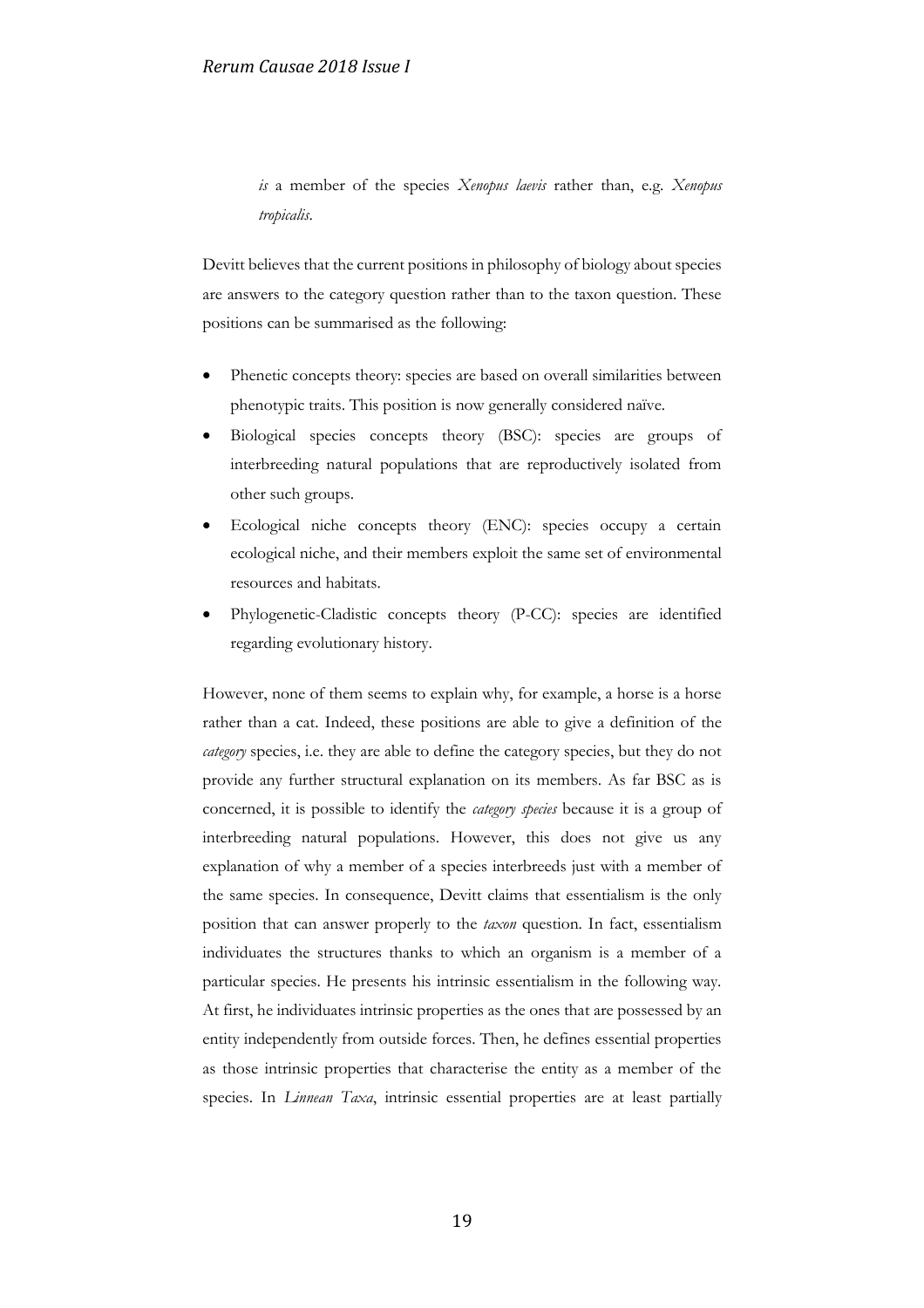*is* a member of the species *Xenopus laevis* rather than, e.g. *Xenopus tropicalis*.

Devitt believes that the current positions in philosophy of biology about species are answers to the category question rather than to the taxon question. These positions can be summarised as the following:

- Phenetic concepts theory: species are based on overall similarities between phenotypic traits. This position is now generally considered naïve.
- Biological species concepts theory (BSC): species are groups of interbreeding natural populations that are reproductively isolated from other such groups.
- Ecological niche concepts theory (ENC): species occupy a certain ecological niche, and their members exploit the same set of environmental resources and habitats.
- Phylogenetic-Cladistic concepts theory (P-CC): species are identified regarding evolutionary history.

However, none of them seems to explain why, for example, a horse is a horse rather than a cat. Indeed, these positions are able to give a definition of the *category* species, i.e. they are able to define the category species, but they do not provide any further structural explanation on its members. As far BSC as is concerned, it is possible to identify the *category species* because it is a group of interbreeding natural populations. However, this does not give us any explanation of why a member of a species interbreeds just with a member of the same species. In consequence, Devitt claims that essentialism is the only position that can answer properly to the *taxon* question. In fact, essentialism individuates the structures thanks to which an organism is a member of a particular species. He presents his intrinsic essentialism in the following way. At first, he individuates intrinsic properties as the ones that are possessed by an entity independently from outside forces. Then, he defines essential properties as those intrinsic properties that characterise the entity as a member of the species. In *Linnean Taxa*, intrinsic essential properties are at least partially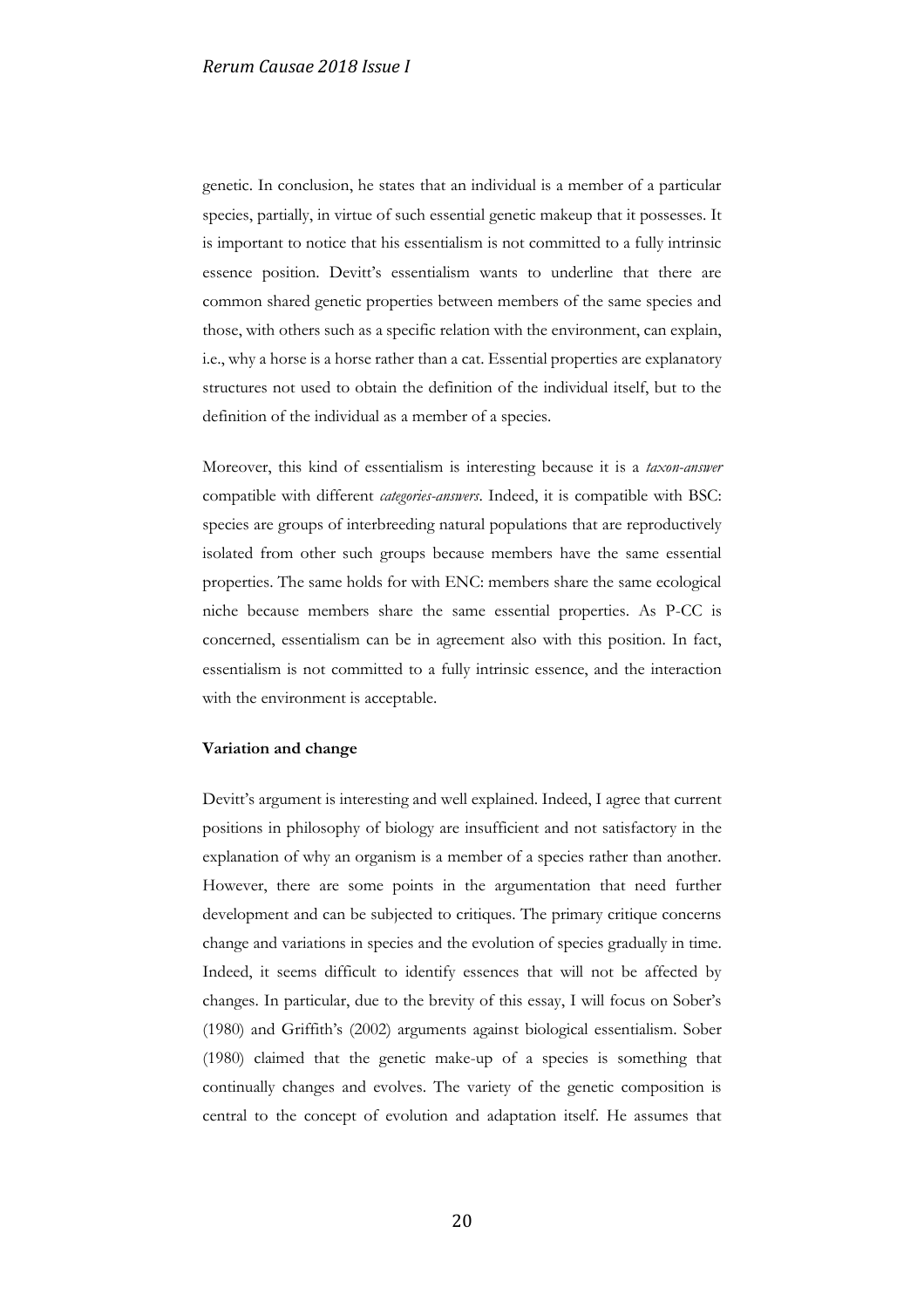genetic. In conclusion, he states that an individual is a member of a particular species, partially, in virtue of such essential genetic makeup that it possesses. It is important to notice that his essentialism is not committed to a fully intrinsic essence position. Devitt's essentialism wants to underline that there are common shared genetic properties between members of the same species and those, with others such as a specific relation with the environment, can explain, i.e., why a horse is a horse rather than a cat. Essential properties are explanatory structures not used to obtain the definition of the individual itself, but to the definition of the individual as a member of a species.

Moreover, this kind of essentialism is interesting because it is a *taxon-answer* compatible with different *categories-answers*. Indeed, it is compatible with BSC: species are groups of interbreeding natural populations that are reproductively isolated from other such groups because members have the same essential properties. The same holds for with ENC: members share the same ecological niche because members share the same essential properties. As P-CC is concerned, essentialism can be in agreement also with this position. In fact, essentialism is not committed to a fully intrinsic essence, and the interaction with the environment is acceptable.

### **Variation and change**

Devitt's argument is interesting and well explained. Indeed, I agree that current positions in philosophy of biology are insufficient and not satisfactory in the explanation of why an organism is a member of a species rather than another. However, there are some points in the argumentation that need further development and can be subjected to critiques. The primary critique concerns change and variations in species and the evolution of species gradually in time. Indeed, it seems difficult to identify essences that will not be affected by changes. In particular, due to the brevity of this essay, I will focus on Sober's (1980) and Griffith's (2002) arguments against biological essentialism. Sober (1980) claimed that the genetic make-up of a species is something that continually changes and evolves. The variety of the genetic composition is central to the concept of evolution and adaptation itself. He assumes that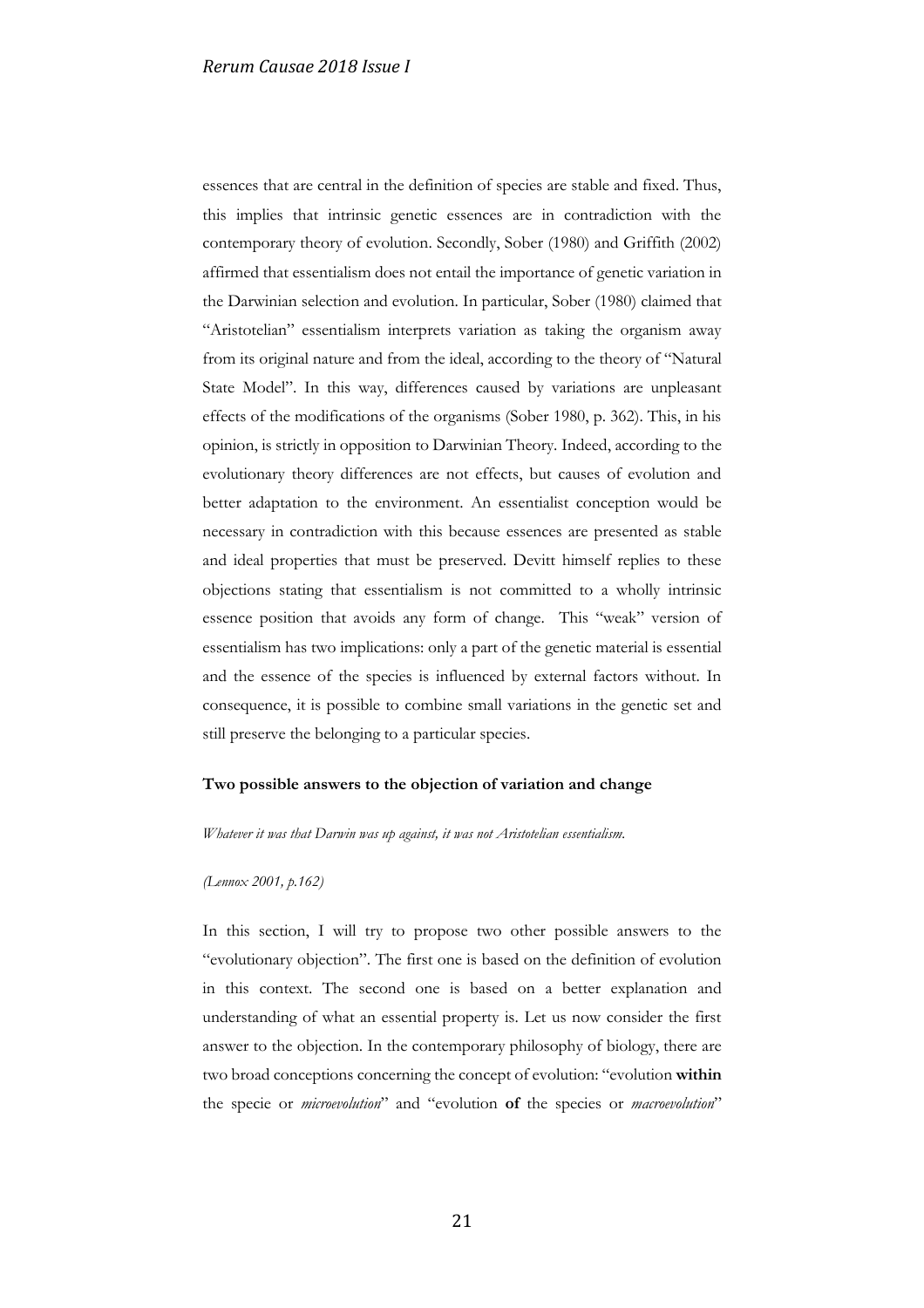essences that are central in the definition of species are stable and fixed. Thus, this implies that intrinsic genetic essences are in contradiction with the contemporary theory of evolution. Secondly, Sober (1980) and Griffith (2002) affirmed that essentialism does not entail the importance of genetic variation in the Darwinian selection and evolution. In particular, Sober (1980) claimed that "Aristotelian" essentialism interprets variation as taking the organism away from its original nature and from the ideal, according to the theory of "Natural State Model". In this way, differences caused by variations are unpleasant effects of the modifications of the organisms (Sober 1980, p. 362). This, in his opinion, is strictly in opposition to Darwinian Theory. Indeed, according to the evolutionary theory differences are not effects, but causes of evolution and better adaptation to the environment. An essentialist conception would be necessary in contradiction with this because essences are presented as stable and ideal properties that must be preserved. Devitt himself replies to these objections stating that essentialism is not committed to a wholly intrinsic essence position that avoids any form of change. This "weak" version of essentialism has two implications: only a part of the genetic material is essential and the essence of the species is influenced by external factors without. In consequence, it is possible to combine small variations in the genetic set and still preserve the belonging to a particular species.

### **Two possible answers to the objection of variation and change**

### *Whatever it was that Darwin was up against, it was not Aristotelian essentialism.*

### *(Lennox 2001, p.162)*

In this section, I will try to propose two other possible answers to the "evolutionary objection". The first one is based on the definition of evolution in this context. The second one is based on a better explanation and understanding of what an essential property is. Let us now consider the first answer to the objection. In the contemporary philosophy of biology, there are two broad conceptions concerning the concept of evolution: "evolution **within** the specie or *microevolution*" and "evolution **of** the species or *macroevolution*"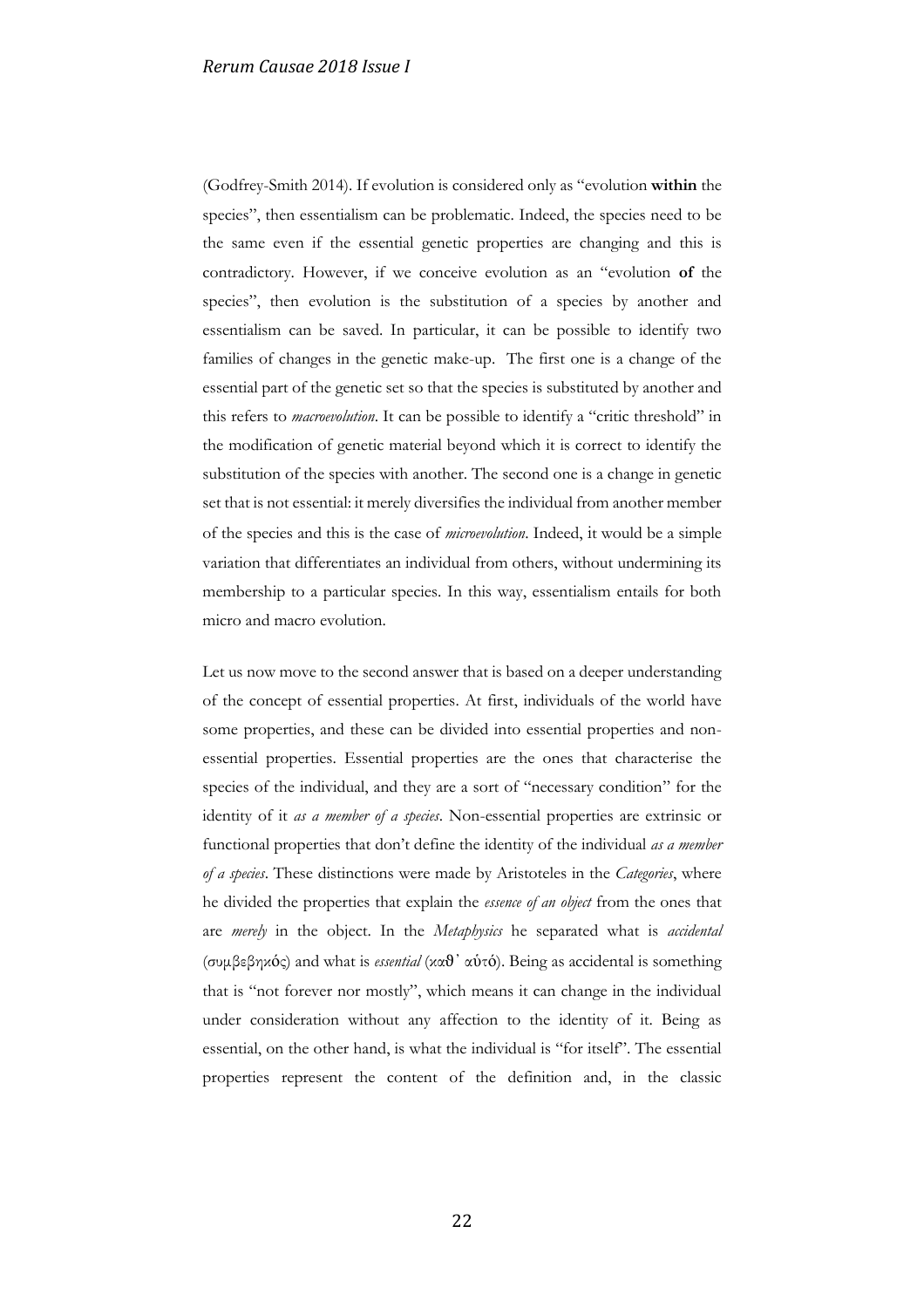(Godfrey-Smith 2014). If evolution is considered only as "evolution **within** the species", then essentialism can be problematic. Indeed, the species need to be the same even if the essential genetic properties are changing and this is contradictory. However, if we conceive evolution as an "evolution **of** the species", then evolution is the substitution of a species by another and essentialism can be saved. In particular, it can be possible to identify two families of changes in the genetic make-up. The first one is a change of the essential part of the genetic set so that the species is substituted by another and this refers to *macroevolution*. It can be possible to identify a "critic threshold" in the modification of genetic material beyond which it is correct to identify the substitution of the species with another. The second one is a change in genetic set that is not essential: it merely diversifies the individual from another member of the species and this is the case of *microevolution*. Indeed, it would be a simple variation that differentiates an individual from others, without undermining its membership to a particular species. In this way, essentialism entails for both micro and macro evolution.

Let us now move to the second answer that is based on a deeper understanding of the concept of essential properties. At first, individuals of the world have some properties, and these can be divided into essential properties and nonessential properties. Essential properties are the ones that characterise the species of the individual, and they are a sort of "necessary condition" for the identity of it *as a member of a species*. Non-essential properties are extrinsic or functional properties that don't define the identity of the individual *as a member of a species*. These distinctions were made by Aristoteles in the *Categories*, where he divided the properties that explain the *essence of an object* from the ones that are *merely* in the object. In the *Metaphysics* he separated what is *accidental* (συμβεβηκός) and what is *essential* (καϑ᾿ αὑτό). Being as accidental is something that is "not forever nor mostly", which means it can change in the individual under consideration without any affection to the identity of it. Being as essential, on the other hand, is what the individual is "for itself". The essential properties represent the content of the definition and, in the classic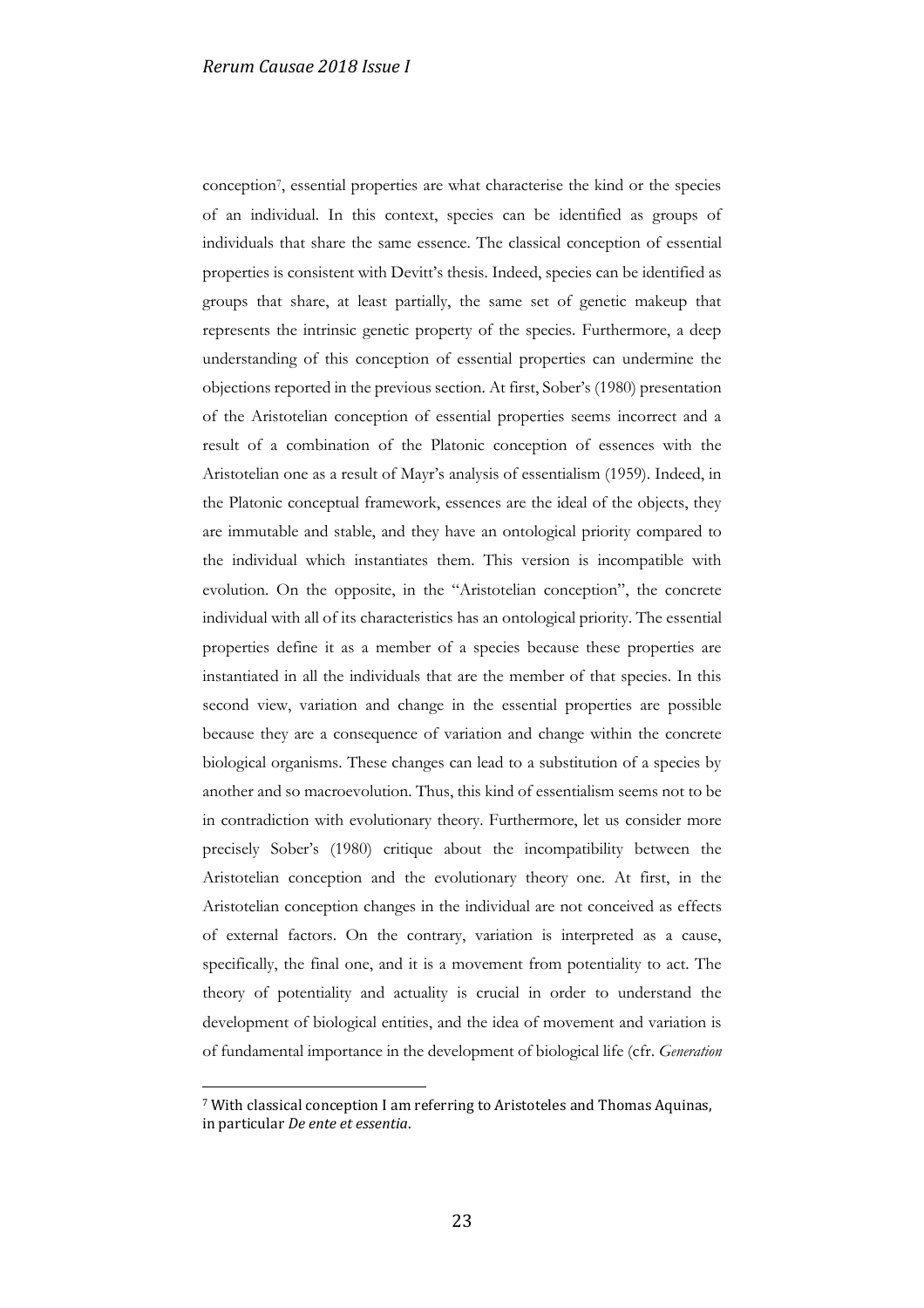conception<sup>7</sup> , essential properties are what characterise the kind or the species of an individual. In this context, species can be identified as groups of individuals that share the same essence. The classical conception of essential properties is consistent with Devitt's thesis. Indeed, species can be identified as groups that share, at least partially, the same set of genetic makeup that represents the intrinsic genetic property of the species. Furthermore, a deep understanding of this conception of essential properties can undermine the objections reported in the previous section. At first, Sober's (1980) presentation of the Aristotelian conception of essential properties seems incorrect and a result of a combination of the Platonic conception of essences with the Aristotelian one as a result of Mayr's analysis of essentialism (1959). Indeed, in the Platonic conceptual framework, essences are the ideal of the objects, they are immutable and stable, and they have an ontological priority compared to the individual which instantiates them. This version is incompatible with evolution. On the opposite, in the "Aristotelian conception", the concrete individual with all of its characteristics has an ontological priority. The essential properties define it as a member of a species because these properties are instantiated in all the individuals that are the member of that species. In this second view, variation and change in the essential properties are possible because they are a consequence of variation and change within the concrete biological organisms. These changes can lead to a substitution of a species by another and so macroevolution. Thus, this kind of essentialism seems not to be in contradiction with evolutionary theory. Furthermore, let us consider more precisely Sober's (1980) critique about the incompatibility between the Aristotelian conception and the evolutionary theory one. At first, in the Aristotelian conception changes in the individual are not conceived as effects of external factors. On the contrary, variation is interpreted as a cause, specifically, the final one, and it is a movement from potentiality to act. The theory of potentiality and actuality is crucial in order to understand the development of biological entities, and the idea of movement and variation is of fundamental importance in the development of biological life (cfr. *Generation* 

1

<sup>7</sup> With classical conception I am referring to Aristoteles and Thomas Aquinas, in particular *De ente et essentia*.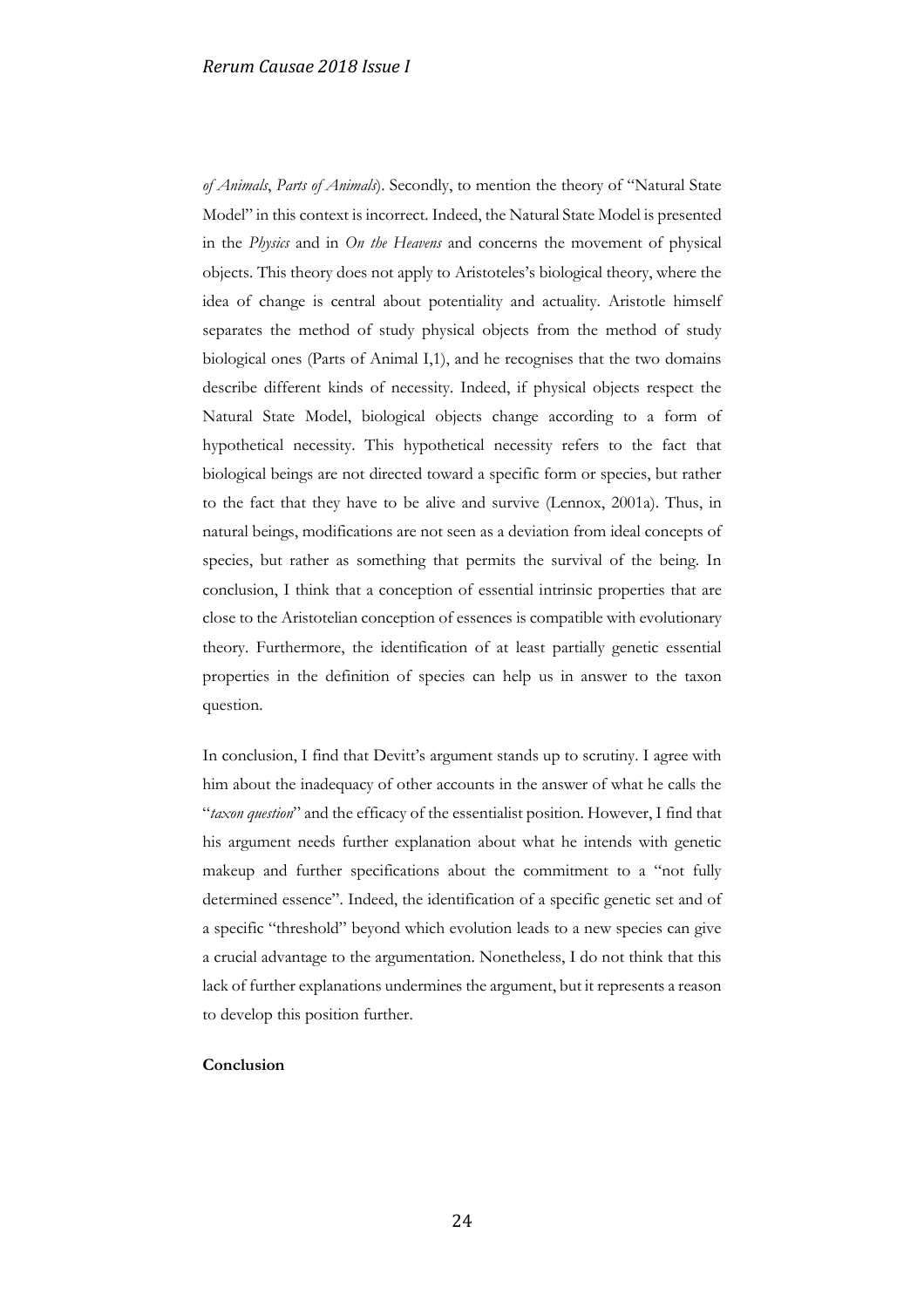*of Animals*, *Parts of Animals*). Secondly, to mention the theory of "Natural State Model" in this context is incorrect. Indeed, the Natural State Model is presented in the *Physics* and in *On the Heavens* and concerns the movement of physical objects. This theory does not apply to Aristoteles's biological theory, where the idea of change is central about potentiality and actuality. Aristotle himself separates the method of study physical objects from the method of study biological ones (Parts of Animal I,1), and he recognises that the two domains describe different kinds of necessity. Indeed, if physical objects respect the Natural State Model, biological objects change according to a form of hypothetical necessity. This hypothetical necessity refers to the fact that biological beings are not directed toward a specific form or species, but rather to the fact that they have to be alive and survive (Lennox, 2001a). Thus, in natural beings, modifications are not seen as a deviation from ideal concepts of species, but rather as something that permits the survival of the being. In conclusion, I think that a conception of essential intrinsic properties that are close to the Aristotelian conception of essences is compatible with evolutionary theory. Furthermore, the identification of at least partially genetic essential properties in the definition of species can help us in answer to the taxon question.

In conclusion, I find that Devitt's argument stands up to scrutiny. I agree with him about the inadequacy of other accounts in the answer of what he calls the "*taxon question*" and the efficacy of the essentialist position. However, I find that his argument needs further explanation about what he intends with genetic makeup and further specifications about the commitment to a "not fully determined essence". Indeed, the identification of a specific genetic set and of a specific "threshold" beyond which evolution leads to a new species can give a crucial advantage to the argumentation. Nonetheless, I do not think that this lack of further explanations undermines the argument, but it represents a reason to develop this position further.

## **Conclusion**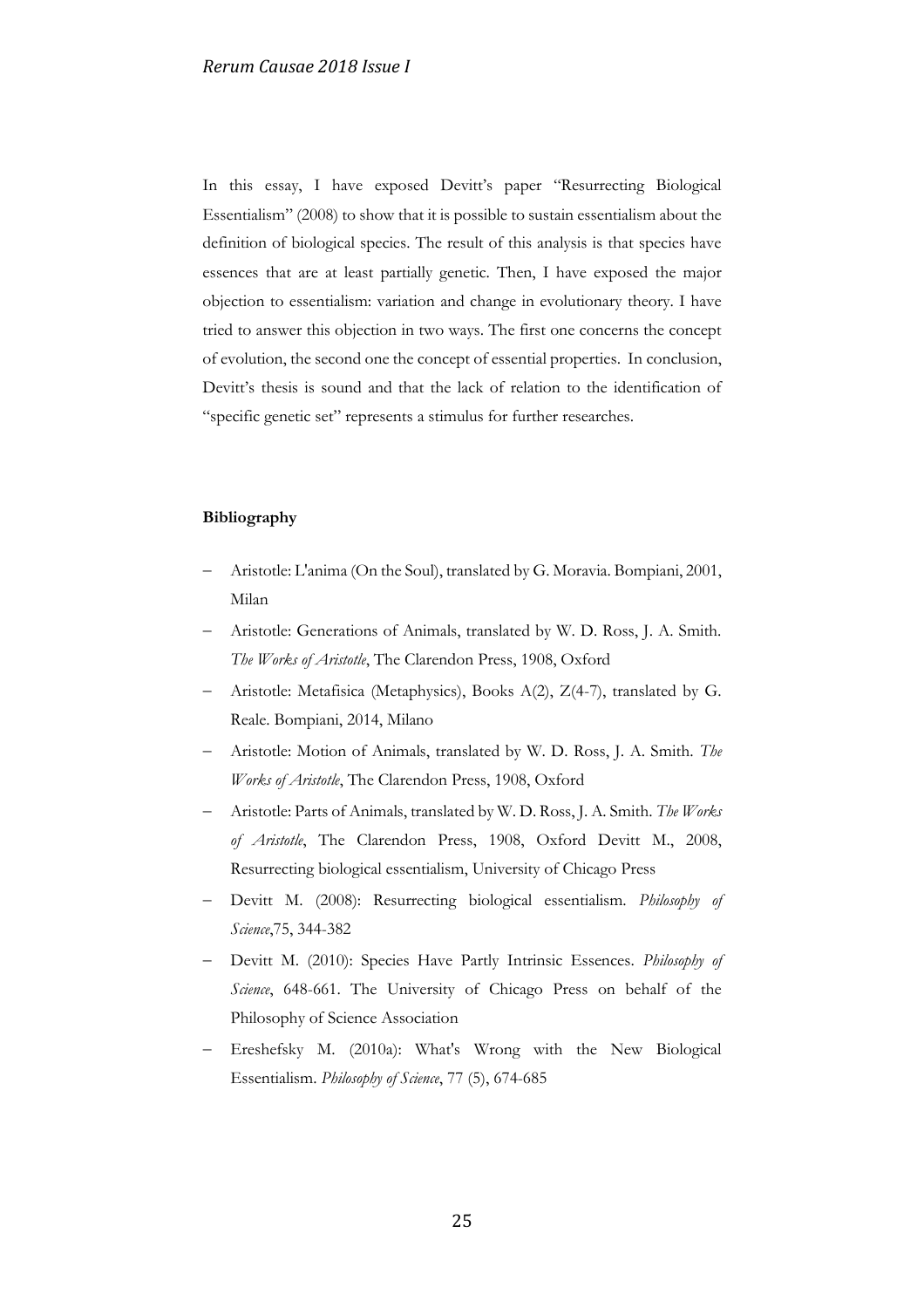In this essay, I have exposed Devitt's paper "Resurrecting Biological Essentialism" (2008) to show that it is possible to sustain essentialism about the definition of biological species. The result of this analysis is that species have essences that are at least partially genetic. Then, I have exposed the major objection to essentialism: variation and change in evolutionary theory. I have tried to answer this objection in two ways. The first one concerns the concept of evolution, the second one the concept of essential properties. In conclusion, Devitt's thesis is sound and that the lack of relation to the identification of "specific genetic set" represents a stimulus for further researches.

# **Bibliography**

- − Aristotle: L'anima (On the Soul), translated by G. Moravia. Bompiani, 2001, Milan
- − Aristotle: Generations of Animals, translated by W. D. Ross, J. A. Smith. *The Works of Aristotle*, The Clarendon Press, 1908, Oxford
- − Aristotle: Metafisica (Metaphysics), Books A(2), Z(4-7), translated by G. Reale. Bompiani, 2014, Milano
- − Aristotle: Motion of Animals, translated by W. D. Ross, J. A. Smith. *The Works of Aristotle*, The Clarendon Press, 1908, Oxford
- − Aristotle: Parts of Animals, translated by W. D. Ross, J. A. Smith. *The Works of Aristotle*, The Clarendon Press, 1908, Oxford Devitt M., 2008, Resurrecting biological essentialism, University of Chicago Press
- − Devitt M. (2008): Resurrecting biological essentialism. *Philosophy of Science*,75, 344-382
- − Devitt M. (2010): Species Have Partly Intrinsic Essences. *Philosophy of Science*, 648-661. The University of Chicago Press on behalf of the Philosophy of Science Association
- Ereshefsky M. (2010a): What's Wrong with the New Biological Essentialism. *Philosophy of Science*, 77 (5), 674-685